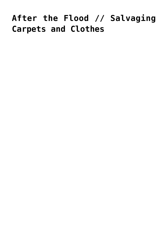## **[After the Flood // Salvaging](https://livewellutah.org/2017/02/24/after-the-flood-salvaging-carpets-and-clothes/) [Carpets and Clothes](https://livewellutah.org/2017/02/24/after-the-flood-salvaging-carpets-and-clothes/)**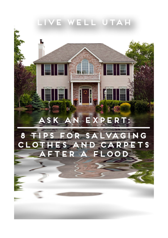## LIVE WELL UTAH

## ASK AN EXPERT:

## NG 8 FOR SA Ð д G CLO  $\Gamma$  S AN 15 ۂ∆ Б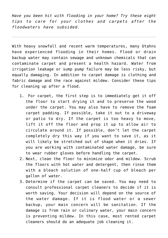*Have you been hit with flooding in your home? Try these eight tips to care for your clothes and carpets after the floodwaters have subsided.*

With heavy snowfall and recent warm temperatures, many Utahns have experienced flooding in their homes. Flood or drain backup water may contain sewage and unknown chemicals that can contaminate carpet and present a health hazard. Water from irrigation leakage or sump pump failure may be less risky, but equally damaging. In addition to carpet damage is clothing and fabric damage and the race against mildew. Consider these tips for cleaning up after a flood.

- 1. For carpet, the first step is to immediately get it off the floor to start drying it and to preserve the wood under the carpet. You may also have to remove the foam carpet padding. If possible, take it out to a driveway or patio to dry. If the carpet is too heavy to move, lift it off the floor and prop it up to allow air to circulate around it. If possible, don't let the carpet completely dry this way if you want to save it, as it will likely be stretched out of shape when it dries. If you are working with contaminated water damage, be sure to wear rubber gloves before handling the carpet.
- 2. Next, clean the floor to minimize odor and mildew. Scrub the floors with hot water and detergent, then rinse them with a bleach solution of one-half cup of bleach per gallon of water.
- 3. Determine if the carpet can be saved. You may need to consult professional carpet cleaners to decide if it is worth saving. Your decision will depend on the source of the water damage. If it is flood water or a sewer backup, your main concern will be sanitation. If the damage is from rain or culinary water, your main concern is preventing mildew. In this case, most rented carpet cleaners should do an adequate job cleaning it.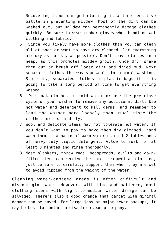- 4. Recovering flood-damaged clothing is a time-sensitive battle in preventing mildew. Most of the dirt can be washed out, but mildew can permanently damage clothes quickly. Be sure to wear rubber gloves when handling wet clothing and fabric.
- 5. Since you likely have more clothes than you can clean all at once or want to have dry cleaned, let everything air dry as quickly as possible. Don't leave clothes in a heap, as this promotes mildew growth. Once dry, shake them out or brush off loose dirt and dried mud. Next separate clothes the way you would for normal washing. Store dry, separated clothes in plastic bags if it is going to take a long period of time to get everything washed.
- 6. Pre-soak clothes in cold water or use the pre-rinse cycle on your washer to remove any additional dirt. Use hot water and detergent to kill germs, and remember to load the washer more loosely than usual since the clothes are extra dirty.
- 7. Wool and delicate items may not tolerate hot water. If you don't want to pay to have them dry cleaned, hand wash them in a basin of warm water using 1-2 tablespoons of heavy duty liquid detergent. Allow to soak for at least 3 minutes and rinse thoroughly.
- 8. Most blankets, throw rugs, bedspreads, quilts and downfilled items can receive the same treatment as clothing, just be sure to carefully support them when they are wet to avoid ripping from the weight of the water.

Cleaning water-damaged areas is often difficult and discouraging work. However, with time and patience, most clothing items with light-to-medium water damage can be salvaged. There's also a good chance that carpet with minimal damage can be saved. For large jobs or major sewer backups, it may be best to contact a disaster cleanup company.